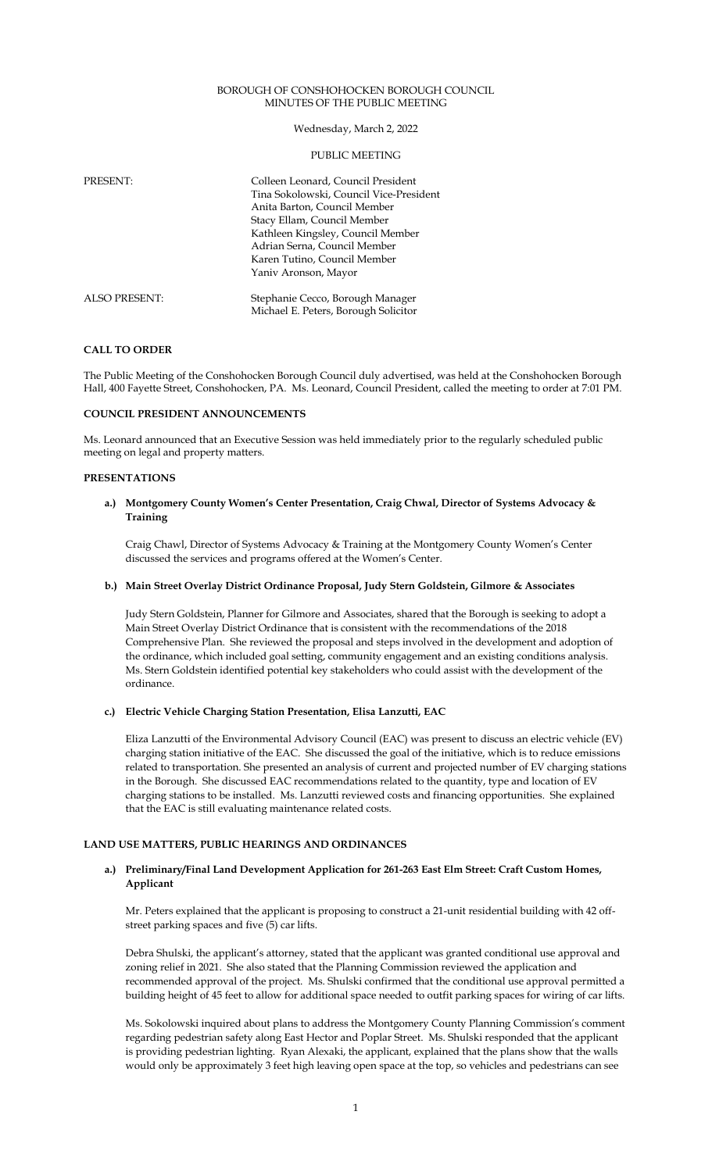### BOROUGH OF CONSHOHOCKEN BOROUGH COUNCIL MINUTES OF THE PUBLIC MEETING

### Wednesday, March 2, 2022

### PUBLIC MEETING

| PRESENT:             | Colleen Leonard, Council President<br>Tina Sokolowski, Council Vice-President<br>Anita Barton, Council Member<br>Stacy Ellam, Council Member<br>Kathleen Kingsley, Council Member<br>Adrian Serna, Council Member<br>Karen Tutino, Council Member<br>Yaniv Aronson, Mayor |
|----------------------|---------------------------------------------------------------------------------------------------------------------------------------------------------------------------------------------------------------------------------------------------------------------------|
| <b>ALSO PRESENT:</b> | Stephanie Cecco, Borough Manager<br>Michael E. Peters, Borough Solicitor                                                                                                                                                                                                  |

# **CALL TO ORDER**

The Public Meeting of the Conshohocken Borough Council duly advertised, was held at the Conshohocken Borough Hall, 400 Fayette Street, Conshohocken, PA. Ms. Leonard, Council President, called the meeting to order at 7:01 PM.

#### **COUNCIL PRESIDENT ANNOUNCEMENTS**

Ms. Leonard announced that an Executive Session was held immediately prior to the regularly scheduled public meeting on legal and property matters.

### **PRESENTATIONS**

### **a.) Montgomery County Women's Center Presentation, Craig Chwal, Director of Systems Advocacy & Training**

Craig Chawl, Director of Systems Advocacy & Training at the Montgomery County Women's Center discussed the services and programs offered at the Women's Center.

### **b.) Main Street Overlay District Ordinance Proposal, Judy Stern Goldstein, Gilmore & Associates**

Judy Stern Goldstein, Planner for Gilmore and Associates, shared that the Borough is seeking to adopt a Main Street Overlay District Ordinance that is consistent with the recommendations of the 2018 Comprehensive Plan. She reviewed the proposal and steps involved in the development and adoption of the ordinance, which included goal setting, community engagement and an existing conditions analysis. Ms. Stern Goldstein identified potential key stakeholders who could assist with the development of the ordinance.

### **c.) Electric Vehicle Charging Station Presentation, Elisa Lanzutti, EAC**

Eliza Lanzutti of the Environmental Advisory Council (EAC) was present to discuss an electric vehicle (EV) charging station initiative of the EAC. She discussed the goal of the initiative, which is to reduce emissions related to transportation. She presented an analysis of current and projected number of EV charging stations in the Borough. She discussed EAC recommendations related to the quantity, type and location of EV charging stations to be installed. Ms. Lanzutti reviewed costs and financing opportunities. She explained that the EAC is still evaluating maintenance related costs.

# **LAND USE MATTERS, PUBLIC HEARINGS AND ORDINANCES**

### **a.) Preliminary/Final Land Development Application for 261-263 East Elm Street: Craft Custom Homes, Applicant**

Mr. Peters explained that the applicant is proposing to construct a 21-unit residential building with 42 offstreet parking spaces and five (5) car lifts.

Debra Shulski, the applicant's attorney, stated that the applicant was granted conditional use approval and zoning relief in 2021. She also stated that the Planning Commission reviewed the application and recommended approval of the project. Ms. Shulski confirmed that the conditional use approval permitted a building height of 45 feet to allow for additional space needed to outfit parking spaces for wiring of car lifts.

Ms. Sokolowski inquired about plans to address the Montgomery County Planning Commission's comment regarding pedestrian safety along East Hector and Poplar Street. Ms. Shulski responded that the applicant is providing pedestrian lighting. Ryan Alexaki, the applicant, explained that the plans show that the walls would only be approximately 3 feet high leaving open space at the top, so vehicles and pedestrians can see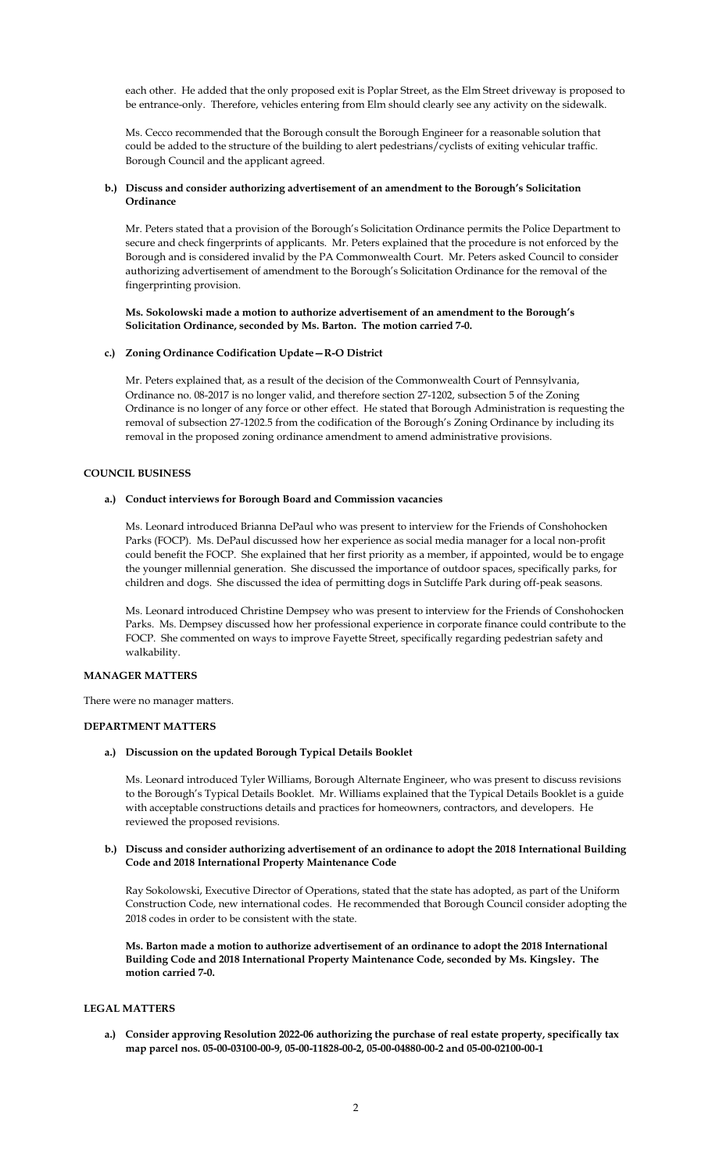each other. He added that the only proposed exit is Poplar Street, as the Elm Street driveway is proposed to be entrance-only. Therefore, vehicles entering from Elm should clearly see any activity on the sidewalk.

Ms. Cecco recommended that the Borough consult the Borough Engineer for a reasonable solution that could be added to the structure of the building to alert pedestrians/cyclists of exiting vehicular traffic. Borough Council and the applicant agreed.

### **b.) Discuss and consider authorizing advertisement of an amendment to the Borough's Solicitation Ordinance**

Mr. Peters stated that a provision of the Borough's Solicitation Ordinance permits the Police Department to secure and check fingerprints of applicants. Mr. Peters explained that the procedure is not enforced by the Borough and is considered invalid by the PA Commonwealth Court. Mr. Peters asked Council to consider authorizing advertisement of amendment to the Borough's Solicitation Ordinance for the removal of the fingerprinting provision.

### **Ms. Sokolowski made a motion to authorize advertisement of an amendment to the Borough's Solicitation Ordinance, seconded by Ms. Barton. The motion carried 7-0.**

### **c.) Zoning Ordinance Codification Update—R-O District**

Mr. Peters explained that, as a result of the decision of the Commonwealth Court of Pennsylvania, Ordinance no. 08-2017 is no longer valid, and therefore section 27-1202, subsection 5 of the Zoning Ordinance is no longer of any force or other effect. He stated that Borough Administration is requesting the removal of subsection 27-1202.5 from the codification of the Borough's Zoning Ordinance by including its removal in the proposed zoning ordinance amendment to amend administrative provisions.

# **COUNCIL BUSINESS**

### **a.) Conduct interviews for Borough Board and Commission vacancies**

Ms. Leonard introduced Brianna DePaul who was present to interview for the Friends of Conshohocken Parks (FOCP). Ms. DePaul discussed how her experience as social media manager for a local non-profit could benefit the FOCP. She explained that her first priority as a member, if appointed, would be to engage the younger millennial generation. She discussed the importance of outdoor spaces, specifically parks, for children and dogs. She discussed the idea of permitting dogs in Sutcliffe Park during off-peak seasons.

Ms. Leonard introduced Christine Dempsey who was present to interview for the Friends of Conshohocken Parks. Ms. Dempsey discussed how her professional experience in corporate finance could contribute to the FOCP. She commented on ways to improve Fayette Street, specifically regarding pedestrian safety and walkability.

### **MANAGER MATTERS**

There were no manager matters.

#### **DEPARTMENT MATTERS**

### **a.) Discussion on the updated Borough Typical Details Booklet**

Ms. Leonard introduced Tyler Williams, Borough Alternate Engineer, who was present to discuss revisions to the Borough's Typical Details Booklet. Mr. Williams explained that the Typical Details Booklet is a guide with acceptable constructions details and practices for homeowners, contractors, and developers. He reviewed the proposed revisions.

# **b.) Discuss and consider authorizing advertisement of an ordinance to adopt the 2018 International Building Code and 2018 International Property Maintenance Code**

Ray Sokolowski, Executive Director of Operations, stated that the state has adopted, as part of the Uniform Construction Code, new international codes. He recommended that Borough Council consider adopting the 2018 codes in order to be consistent with the state.

**Ms. Barton made a motion to authorize advertisement of an ordinance to adopt the 2018 International Building Code and 2018 International Property Maintenance Code, seconded by Ms. Kingsley. The motion carried 7-0.** 

### **LEGAL MATTERS**

**a.) Consider approving Resolution 2022-06 authorizing the purchase of real estate property, specifically tax map parcel nos. 05-00-03100-00-9, 05-00-11828-00-2, 05-00-04880-00-2 and 05-00-02100-00-1**